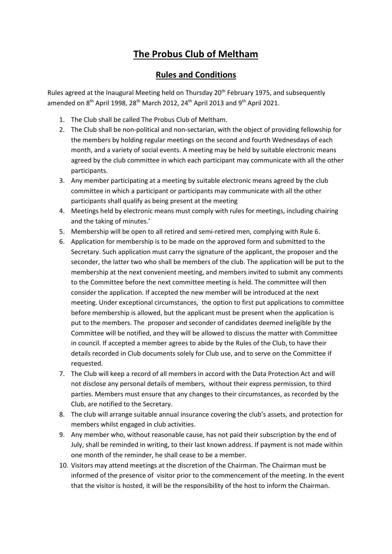## **The Probus Club of Meltham**

## **Rules and Conditions**

Rules agreed at the Inaugural Meeting held on Thursday 20<sup>th</sup> February 1975, and subsequently amended on 8<sup>th</sup> April 1998, 28<sup>th</sup> March 2012, 24<sup>th</sup> April 2013 and 9<sup>th</sup> April 2021.

- 1. The Club shall be called The Probus Club of Meltham.
- 2. The Club shall be non-political and non-sectarian, with the object of providing fellowship for the members by holding regular meetings on the second and fourth Wednesdays of each month, and a variety of social events. A meeting may be held by suitable electronic means agreed by the club committee in which each participant may communicate with all the other participants.
- 3. Any member participating at a meeting by suitable electronic means agreed by the club committee in which a participant or participants may communicate with all the other participants shall qualify as being present at the meeting
- 4. Meetings held by electronic means must comply with rules for meetings, including chairing and the taking of minutes.'
- 5. Membership will be open to all retired and semi-retired men, complying with Rule 6.
- 6. Application for membership is to be made on the approved form and submitted to the Secretary. Such application must carry the signature of the applicant, the proposer and the seconder, the latter two who shall be members of the club. The application will be put to the membership at the next convenient meeting, and members invited to submit any comments to the Committee before the next committee meeting is held. The committee will then consider the application. If accepted the new member will be introduced at the next meeting. Under exceptional circumstances, the option to first put applications to committee before membership is allowed, but the applicant must be present when the application is put to the members. The proposer and seconder of candidates deemed ineligible by the Committee will be notified, and they will be allowed to discuss the matter with Committee in council. If accepted a member agrees to abide by the Rules of the Club, to have their details recorded in Club documents solely for Club use, and to serve on the Committee if requested.
- 7. The Club will keep a record of all members in accord with the Data Protection Act and will not disclose any personal details of members, without their express permission, to third parties. Members must ensure that any changes to their circumstances, as recorded by the Club, are notified to the Secretary.
- 8. The club will arrange suitable annual insurance covering the club's assets, and protection for members whilst engaged in club activities.
- 9. Any member who, without reasonable cause, has not paid their subscription by the end of July, shall be reminded in writing, to their last known address. If payment is not made within one month of the reminder, he shall cease to be a member.
- 10. Visitors may attend meetings at the discretion of the Chairman. The Chairman must be informed of the presence of visitor prior to the commencement of the meeting. In the event that the visitor is hosted, it will be the responsibility of the host to inform the Chairman.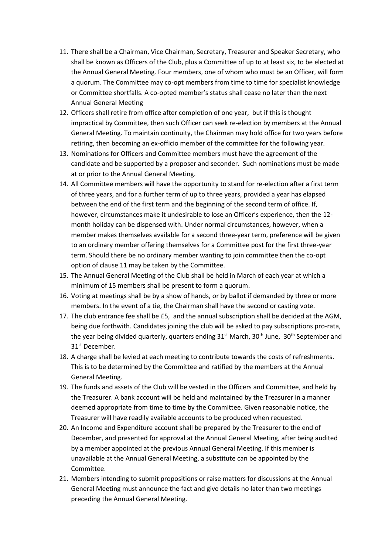- 11. There shall be a Chairman, Vice Chairman, Secretary, Treasurer and Speaker Secretary, who shall be known as Officers of the Club, plus a Committee of up to at least six, to be elected at the Annual General Meeting. Four members, one of whom who must be an Officer, will form a quorum. The Committee may co-opt members from time to time for specialist knowledge or Committee shortfalls. A co-opted member's status shall cease no later than the next Annual General Meeting
- 12. Officers shall retire from office after completion of one year, but if this is thought impractical by Committee, then such Officer can seek re-election by members at the Annual General Meeting. To maintain continuity, the Chairman may hold office for two years before retiring, then becoming an ex-officio member of the committee for the following year.
- 13. Nominations for Officers and Committee members must have the agreement of the candidate and be supported by a proposer and seconder. Such nominations must be made at or prior to the Annual General Meeting.
- 14. All Committee members will have the opportunity to stand for re-election after a first term of three years, and for a further term of up to three years, provided a year has elapsed between the end of the first term and the beginning of the second term of office. If, however, circumstances make it undesirable to lose an Officer's experience, then the 12 month holiday can be dispensed with. Under normal circumstances, however, when a member makes themselves available for a second three-year term, preference will be given to an ordinary member offering themselves for a Committee post for the first three-year term. Should there be no ordinary member wanting to join committee then the co-opt option of clause 11 may be taken by the Committee.
- 15. The Annual General Meeting of the Club shall be held in March of each year at which a minimum of 15 members shall be present to form a quorum.
- 16. Voting at meetings shall be by a show of hands, or by ballot if demanded by three or more members. In the event of a tie, the Chairman shall have the second or casting vote.
- 17. The club entrance fee shall be £5, and the annual subscription shall be decided at the AGM, being due forthwith. Candidates joining the club will be asked to pay subscriptions pro-rata, the year being divided quarterly, quarters ending 31<sup>st</sup> March, 30<sup>th</sup> June, 30<sup>th</sup> September and 31<sup>st</sup> December.
- 18. A charge shall be levied at each meeting to contribute towards the costs of refreshments. This is to be determined by the Committee and ratified by the members at the Annual General Meeting.
- 19. The funds and assets of the Club will be vested in the Officers and Committee, and held by the Treasurer. A bank account will be held and maintained by the Treasurer in a manner deemed appropriate from time to time by the Committee. Given reasonable notice, the Treasurer will have readily available accounts to be produced when requested.
- 20. An Income and Expenditure account shall be prepared by the Treasurer to the end of December, and presented for approval at the Annual General Meeting, after being audited by a member appointed at the previous Annual General Meeting. If this member is unavailable at the Annual General Meeting, a substitute can be appointed by the Committee.
- 21. Members intending to submit propositions or raise matters for discussions at the Annual General Meeting must announce the fact and give details no later than two meetings preceding the Annual General Meeting.